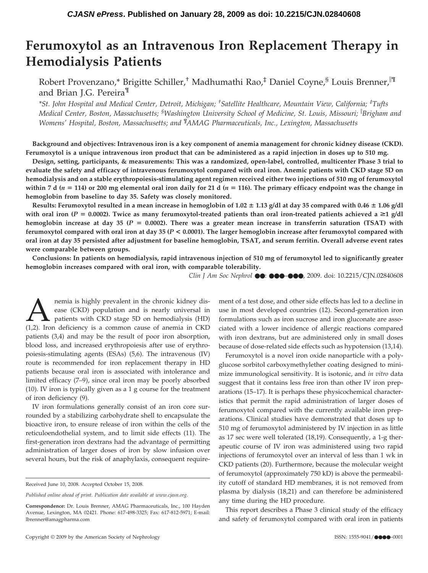# **Ferumoxytol as an Intravenous Iron Replacement Therapy in Hemodialysis Patients**

Robert Provenzano,\* Brigitte Schiller,<sup>†</sup> Madhumathi Rao,<sup>‡</sup> Daniel Coyne,<sup>§</sup> Louis Brenner,<sup>||¶</sup> and Brian J.G. Pereira<sup>¶</sup>

*\*St. John Hospital and Medical Center, Detroit, Michigan; † Satellite Healthcare, Mountain View, California; ‡ Tufts Medical Center, Boston, Massachusetts; § Washington University School of Medicine, St. Louis, Missouri; Brigham and Womens' Hospital, Boston, Massachusetts; and ¶ AMAG Pharmaceuticals, Inc., Lexington, Massachusetts*

**Background and objectives: Intravenous iron is a key component of anemia management for chronic kidney disease (CKD). Ferumoxytol is a unique intravenous iron product that can be administered as a rapid injection in doses up to 510 mg.**

**Design, setting, participants, & measurements: This was a randomized, open-label, controlled, multicenter Phase 3 trial to evaluate the safety and efficacy of intravenous ferumoxytol compared with oral iron. Anemic patients with CKD stage 5D on hemodialysis and on a stable erythropoiesis-stimulating agent regimen received either two injections of 510 mg of ferumoxytol** within 7 d ( $n = 114$ ) or 200 mg elemental oral iron daily for 21 d ( $n = 116$ ). The primary efficacy endpoint was the change in **hemoglobin from baseline to day 35. Safety was closely monitored.**

 $R$ esults: Ferumoxytol resulted in a mean increase in hemoglobin of 1.02  $\pm$  1.13 g/dl at day 35 compared with 0.46  $\pm$  1.06 g/dl with oral iron ( $P = 0.0002$ ). Twice as many ferumoxytol-treated patients than oral iron-treated patients achieved a  $\geq 1$  g/dl **hemoglobin increase at day 35 (***P* **0.0002). There was a greater mean increase in transferrin saturation (TSAT) with ferumoxytol compared with oral iron at day 35 (***P* **< 0.0001). The larger hemoglobin increase after ferumoxytol compared with oral iron at day 35 persisted after adjustment for baseline hemoglobin, TSAT, and serum ferritin. Overall adverse event rates were comparable between groups.**

**Conclusions: In patients on hemodialysis, rapid intravenous injection of 510 mg of ferumoxytol led to significantly greater hemoglobin increases compared with oral iron, with comparable tolerability.**

*Clin J Am Soc Nephrol* ●●: ●●●–●●●, 2009. doi: 10.2215/CJN.02840608

nemia is highly prevalent in the chronic kidney disease (CKD) population and is nearly universal in patients with CKD stage 5D on hemodialysis (HD) (1.2). Iron deficiency is a common cause of anemia in CKD ease (CKD) population and is nearly universal in patients with CKD stage 5D on hemodialysis (HD) (1,2). Iron deficiency is a common cause of anemia in CKD patients (3,4) and may be the result of poor iron absorption, blood loss, and increased erythropoiesis after use of erythropoiesis-stimulating agents (ESAs) (5,6). The intravenous (IV) route is recommended for iron replacement therapy in HD patients because oral iron is associated with intolerance and limited efficacy (7–9), since oral iron may be poorly absorbed (10). IV iron is typically given as a 1 g course for the treatment of iron deficiency (9).

IV iron formulations generally consist of an iron core surrounded by a stabilizing carbohydrate shell to encapsulate the bioactive iron, to ensure release of iron within the cells of the reticuloendothelial system, and to limit side effects (11). The first-generation iron dextrans had the advantage of permitting administration of larger doses of iron by slow infusion over several hours, but the risk of anaphylaxis, consequent requirement of a test dose, and other side effects has led to a decline in use in most developed countries (12). Second-generation iron formulations such as iron sucrose and iron gluconate are associated with a lower incidence of allergic reactions compared with iron dextrans, but are administered only in small doses because of dose-related side effects such as hypotension (13,14).

Ferumoxytol is a novel iron oxide nanoparticle with a polyglucose sorbitol carboxymethylether coating designed to minimize immunological sensitivity. It is isotonic, and *in vitro* data suggest that it contains less free iron than other IV iron preparations (15–17). It is perhaps these physicochemical characteristics that permit the rapid administration of larger doses of ferumoxytol compared with the currently available iron preparations. Clinical studies have demonstrated that doses up to 510 mg of ferumoxytol administered by IV injection in as little as 17 sec were well tolerated (18,19). Consequently, a 1-g therapeutic course of IV iron was administered using two rapid injections of ferumoxytol over an interval of less than 1 wk in CKD patients (20). Furthermore, because the molecular weight of ferumoxytol (approximately 750 kD) is above the permeability cutoff of standard HD membranes, it is not removed from plasma by dialysis (18,21) and can therefore be administered any time during the HD procedure.

This report describes a Phase 3 clinical study of the efficacy and safety of ferumoxytol compared with oral iron in patients

Received June 10, 2008. Accepted October 15, 2008.

*Published online ahead of print. Publication date available at www.cjasn.org.*

**Correspondence:** Dr. Louis Brenner, AMAG Pharmaceuticals, Inc., 100 Hayden Avenue, Lexington, MA 02421. Phone: 617-498-3325; Fax: 617-812-5971; E-mail: lbrenner@amagpharma.com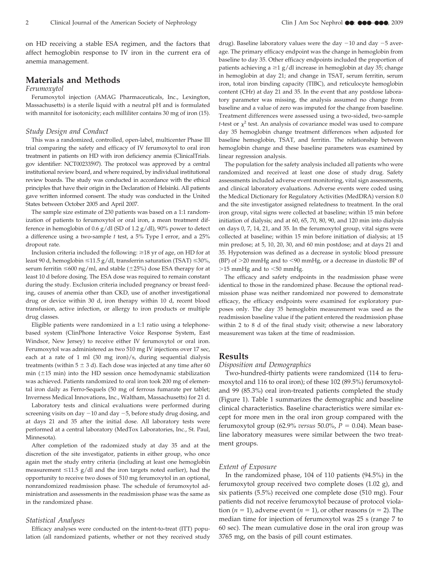on HD receiving a stable ESA regimen, and the factors that affect hemoglobin response to IV iron in the current era of anemia management.

## **Materials and Methods**

## *Ferumoxytol*

Ferumoxytol injection (AMAG Pharmaceuticals, Inc., Lexington, Massachusetts) is a sterile liquid with a neutral pH and is formulated with mannitol for isotonicity; each milliliter contains 30 mg of iron (15).

### *Study Design and Conduct*

This was a randomized, controlled, open-label, multicenter Phase III trial comparing the safety and efficacy of IV ferumoxytol to oral iron treatment in patients on HD with iron deficiency anemia (ClinicalTrials. gov identifier: NCT00233597). The protocol was approved by a central institutional review board, and where required, by individual institutional review boards. The study was conducted in accordance with the ethical principles that have their origin in the Declaration of Helsinki. All patients gave written informed consent. The study was conducted in the United States between October 2005 and April 2007.

The sample size estimate of 230 patients was based on a 1:1 randomization of patients to ferumoxytol or oral iron, a mean treatment difference in hemoglobin of  $0.6$  g/dl (SD of  $1.2$  g/dl), 90% power to detect a difference using a two-sample *t* test, a 5% Type I error, and a 25% dropout rate.

Inclusion criteria included the following:  $\geq$  18 yr of age, on HD for at least 90 d, hemoglobin  $\leq$ 11.5 g/dl, transferrin saturation (TSAT)  $\leq$ 30%, serum ferritin  $\leq$ 600 ng/ml, and stable ( $\pm$ 25%) dose ESA therapy for at least 10 d before dosing. The ESA dose was required to remain constant during the study. Exclusion criteria included pregnancy or breast feeding, causes of anemia other than CKD, use of another investigational drug or device within 30 d, iron therapy within 10 d, recent blood transfusion, active infection, or allergy to iron products or multiple drug classes.

Eligible patients were randomized in a 1:1 ratio using a telephonebased system (ClinPhone Interactive Voice Response System, East Windsor, New Jersey) to receive either IV ferumoxytol or oral iron. Ferumoxytol was administered as two 510 mg IV injections over 17 sec, each at a rate of 1 ml (30 mg iron)/s, during sequential dialysis treatments (within  $5 \pm 3$  d). Each dose was injected at any time after 60 min  $(\pm 15 \text{ min})$  into the HD session once hemodynamic stabilization was achieved. Patients randomized to oral iron took 200 mg of elemental iron daily as Ferro-Sequels (50 mg of ferrous fumarate per tablet; Inverness Medical Innovations, Inc., Waltham, Massachusetts) for 21 d.

Laboratory tests and clinical evaluations were performed during screening visits on day -10 and day -5, before study drug dosing, and at days 21 and 35 after the initial dose. All laboratory tests were performed at a central laboratory (MedTox Laboratories, Inc., St. Paul, Minnesota).

After completion of the radomized study at day 35 and at the discretion of the site investigator, patients in either group, who once again met the study entry criteria (including at least one hemoglobin measurement  $\leq$ 11.5 g/dl and the iron targets noted earlier), had the opportunity to receive two doses of 510 mg ferumoxytol in an optional, nonrandomized readmission phase. The schedule of ferumoxytol administration and assessments in the readmission phase was the same as in the randomized phase.

#### *Statistical Analyses*

Efficacy analyses were conducted on the intent-to-treat (ITT) population (all randomized patients, whether or not they received study

drug). Baseline laboratory values were the day  $-10$  and day  $-5$  average. The primary efficacy endpoint was the change in hemoglobin from baseline to day 35. Other efficacy endpoints included the proportion of patients achieving a  $\geq$ 1 g/dl increase in hemoglobin at day 35; change in hemoglobin at day 21; and change in TSAT, serum ferritin, serum iron, total iron binding capacity (TIBC), and reticulocyte hemoglobin content (CHr) at day 21 and 35. In the event that any postdose laboratory parameter was missing, the analysis assumed no change from baseline and a value of zero was imputed for the change from baseline. Treatment differences were assessed using a two-sided, two-sample *t*-test or  $\chi^2$  test. An analysis of covariance model was used to compare day 35 hemoglobin change treatment differences when adjusted for baseline hemoglobin, TSAT, and ferritin. The relationship between hemoglobin change and these baseline parameters was examined by linear regression analysis.

The population for the safety analysis included all patients who were randomized and received at least one dose of study drug. Safety assessments included adverse event monitoring, vital sign assessments, and clinical laboratory evaluations. Adverse events were coded using the Medical Dictionary for Regulatory Activities (MedDRA) version 8.0 and the site investigator assigned relatedness to treatment. In the oral iron group, vital signs were collected at baseline; within 15 min before initiation of dialysis; and at 60, 65, 70, 80, 90, and 120 min into dialysis on days 0, 7, 14, 21, and 35. In the ferumoxytol group, vital signs were collected at baseline; within 15 min before initiation of dialysis; at 15 min predose; at 5, 10, 20, 30, and 60 min postdose; and at days 21 and 35. Hypotension was defined as a decrease in systolic blood pressure (BP) of  $>$ 20 mmHg and to  $<$ 90 mmHg, or a decrease in diastolic BP of  $>15$  mmHg and to  $<$ 50 mmHg.

The efficacy and safety endpoints in the readmission phase were identical to those in the randomized phase. Because the optional readmission phase was neither randomized nor powered to demonstrate efficacy, the efficacy endpoints were examined for exploratory purposes only. The day 35 hemoglobin measurement was used as the readmission baseline value if the patient entered the readmission phase within 2 to 8 d of the final study visit; otherwise a new laboratory measurement was taken at the time of readmission.

## **Results**

#### *Disposition and Demographics*

Two-hundred-thirty patients were randomized (114 to ferumoxytol and 116 to oral iron); of these 102 (89.5%) ferumoxytoland 99 (85.3%) oral iron-treated patients completed the study (Figure 1). Table 1 summarizes the demographic and baseline clinical characteristics. Baseline characteristics were similar except for more men in the oral iron group compared with the ferumoxytol group (62.9% *versus* 50.0%,  $P = 0.04$ ). Mean baseline laboratory measures were similar between the two treatment groups.

## *Extent of Exposure*

In the randomized phase, 104 of 110 patients (94.5%) in the ferumoxytol group received two complete doses (1.02 g), and six patients (5.5%) received one complete dose (510 mg). Four patients did not receive ferumoxytol because of protocol violation  $(n = 1)$ , adverse event  $(n = 1)$ , or other reasons  $(n = 2)$ . The median time for injection of ferumoxytol was 25 s (range 7 to 60 sec). The mean cumulative dose in the oral iron group was 3765 mg, on the basis of pill count estimates.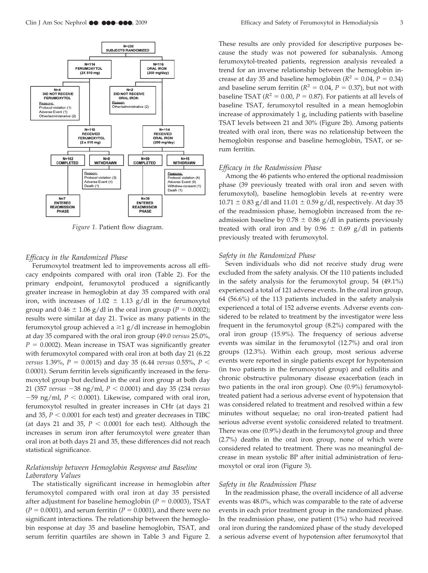

*Figure 1.* Patient flow diagram.

#### *Efficacy in the Randomized Phase*

Ferumoxytol treatment led to improvements across all efficacy endpoints compared with oral iron (Table 2). For the primary endpoint, ferumoxytol produced a significantly greater increase in hemoglobin at day 35 compared with oral iron, with increases of  $1.02 \pm 1.13$  g/dl in the ferumoxytol group and  $0.46 \pm 1.06$  g/dl in the oral iron group ( $P = 0.0002$ ); results were similar at day 21. Twice as many patients in the ferumoxytol group achieved  $a \ge 1$  g/dl increase in hemoglobin at day 35 compared with the oral iron group (49.0 *versus* 25.0%,  $P = 0.0002$ ). Mean increase in TSAT was significantly greater with ferumoxytol compared with oral iron at both day 21 (6.22 *versus* 1.39%,  $P = 0.0015$ ) and day 35 (6.44 *versus* 0.55%,  $P <$ 0.0001). Serum ferritin levels significantly increased in the ferumoxytol group but declined in the oral iron group at both day 21 (357 *versus* -38 ng/ml, *P* 0.0001) and day 35 (234 *versus*  $-59$  ng/ml,  $P < 0.0001$ ). Likewise, compared with oral iron, ferumoxytol resulted in greater increases in CHr (at days 21 and 35,  $P < 0.0001$  for each test) and greater decreases in TIBC (at days 21 and 35,  $P < 0.0001$  for each test). Although the increases in serum iron after ferumoxytol were greater than oral iron at both days 21 and 35, these differences did not reach statistical significance.

## *Relationship between Hemoglobin Response and Baseline Laboratory Values*

The statistically significant increase in hemoglobin after ferumoxytol compared with oral iron at day 35 persisted after adjustment for baseline hemoglobin  $(P = 0.0003)$ , TSAT  $(P = 0.0001)$ , and serum ferritin  $(P = 0.0001)$ , and there were no significant interactions. The relationship between the hemoglobin response at day 35 and baseline hemoglobin, TSAT, and serum ferritin quartiles are shown in Table 3 and Figure 2.

These results are only provided for descriptive purposes because the study was not powered for subanalysis. Among ferumoxytol-treated patients, regression analysis revealed a trend for an inverse relationship between the hemoglobin increase at day 35 and baseline hemoglobin ( $R^2 = 0.04$ ,  $P = 0.34$ ) and baseline serum ferritin ( $R^2 = 0.04$ ,  $P = 0.37$ ), but not with baseline TSAT ( $R^2 = 0.00$ ,  $P = 0.87$ ). For patients at all levels of baseline TSAT, ferumoxytol resulted in a mean hemoglobin increase of approximately 1 g, including patients with baseline TSAT levels between 21 and 30% (Figure 2b). Among patients treated with oral iron, there was no relationship between the hemoglobin response and baseline hemoglobin, TSAT, or serum ferritin.

### *Efficacy in the Readmission Phase*

Among the 46 patients who entered the optional readmission phase (39 previously treated with oral iron and seven with ferumoxytol), baseline hemoglobin levels at re-entry were  $10.71 \pm 0.83$  g/dl and  $11.01 \pm 0.59$  g/dl, respectively. At day 35 of the readmission phase, hemoglobin increased from the readmission baseline by  $0.78 \pm 0.86$  g/dl in patients previously treated with oral iron and by  $0.96 \pm 0.69$  g/dl in patients previously treated with ferumoxytol.

#### *Safety in the Randomized Phase*

Seven individuals who did not receive study drug were excluded from the safety analysis. Of the 110 patients included in the safety analysis for the ferumoxytol group, 54 (49.1%) experienced a total of 121 adverse events. In the oral iron group, 64 (56.6%) of the 113 patients included in the safety analysis experienced a total of 152 adverse events. Adverse events considered to be related to treatment by the investigator were less frequent in the ferumoxytol group (8.2%) compared with the oral iron group (15.9%). The frequency of serious adverse events was similar in the ferumoxytol (12.7%) and oral iron groups (12.3%). Within each group, most serious adverse events were reported in single patients except for hypotension (in two patients in the ferumoxytol group) and cellulitis and chronic obstructive pulmonary disease exacerbation (each in two patients in the oral iron group). One (0.9%) ferumoxytoltreated patient had a serious adverse event of hypotension that was considered related to treatment and resolved within a few minutes without sequelae; no oral iron-treated patient had serious adverse event systolic considered related to treatment. There was one (0.9%) death in the ferumoxytol group and three (2.7%) deaths in the oral iron group, none of which were considered related to treatment. There was no meaningful decrease in mean systolic BP after initial administration of ferumoxytol or oral iron (Figure 3).

#### *Safety in the Readmission Phase*

In the readmission phase, the overall incidence of all adverse events was 48.0%, which was comparable to the rate of adverse events in each prior treatment group in the randomized phase. In the readmission phase, one patient (1%) who had received oral iron during the randomized phase of the study developed a serious adverse event of hypotension after ferumoxytol that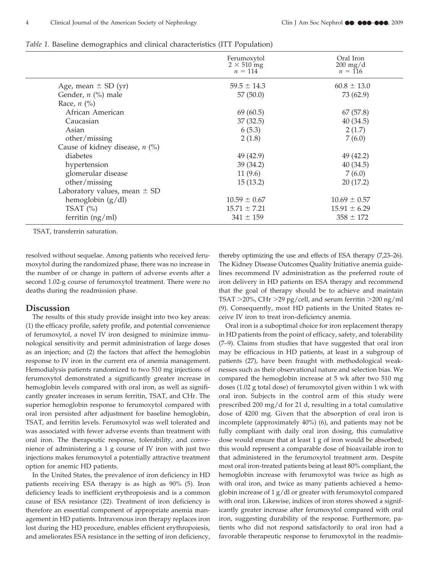|                                  | Ferumoxytol<br>$2 \times 510$ mg<br>$n = 114$ | Oral Iron<br>$200 \text{ mg/d}$<br>$n = 116$ |
|----------------------------------|-----------------------------------------------|----------------------------------------------|
| Age, mean $\pm$ SD (yr)          | $59.5 \pm 14.3$                               | $60.8 \pm 13.0$                              |
| Gender, $n$ (%) male             | 57(50.0)                                      | 73 (62.9)                                    |
| Race, $n$ (%)                    |                                               |                                              |
| African American                 | 69(60.5)                                      | 67(57.8)                                     |
| Caucasian                        | 37(32.5)                                      | 40(34.5)                                     |
| Asian                            | 6(5.3)                                        | 2(1.7)                                       |
| other/missing                    | 2(1.8)                                        | 7(6.0)                                       |
| Cause of kidney disease, $n$ (%) |                                               |                                              |
| diabetes                         | 49 (42.9)                                     | 49 (42.2)                                    |
| hypertension                     | 39(34.2)                                      | 40(34.5)                                     |
| glomerular disease               | 11(9.6)                                       | 7(6.0)                                       |
| other/missing                    | 15(13.2)                                      | 20(17.2)                                     |
| Laboratory values, mean $\pm$ SD |                                               |                                              |
| hemoglobin $(g/dl)$              | $10.59 \pm 0.67$                              | $10.69 \pm 0.57$                             |
| TSAT $(\% )$                     | $15.71 \pm 7.21$                              | $15.91 \pm 6.29$                             |
| ferritin $(ng/ml)$               | $341 \pm 159$                                 | $358 \pm 172$                                |

*Table 1.* Baseline demographics and clinical characteristics (ITT Population)

TSAT, transferrin saturation.

resolved without sequelae. Among patients who received ferumoxytol during the randomized phase, there was no increase in the number of or change in pattern of adverse events after a second 1.02-g course of ferumoxytol treatment. There were no deaths during the readmission phase.

## **Discussion**

The results of this study provide insight into two key areas: (1) the efficacy profile, safety profile, and potential convenience of ferumoxytol, a novel IV iron designed to minimize immunological sensitivity and permit administration of large doses as an injection; and (2) the factors that affect the hemoglobin response to IV iron in the current era of anemia management. Hemodialysis patients randomized to two 510 mg injections of ferumoxytol demonstrated a significantly greater increase in hemoglobin levels compared with oral iron, as well as significantly greater increases in serum ferritin, TSAT, and CHr. The superior hemoglobin response to ferumoxytol compared with oral iron persisted after adjustment for baseline hemoglobin, TSAT, and ferritin levels. Ferumoxytol was well tolerated and was associated with fewer adverse events than treatment with oral iron. The therapeutic response, tolerability, and convenience of administering a 1 g course of IV iron with just two injections makes ferumoxytol a potentially attractive treatment option for anemic HD patients.

In the United States, the prevalence of iron deficiency in HD patients receiving ESA therapy is as high as 90% (5). Iron deficiency leads to inefficient erythropoiesis and is a common cause of ESA resistance (22). Treatment of iron deficiency is therefore an essential component of appropriate anemia management in HD patients. Intravenous iron therapy replaces iron lost during the HD procedure, enables efficient erythropoiesis, and ameliorates ESA resistance in the setting of iron deficiency, thereby optimizing the use and effects of ESA therapy (7,23–26). The Kidney Disease Outcomes Quality Initiative anemia guidelines recommend IV administration as the preferred route of iron delivery in HD patients on ESA therapy and recommend that the goal of therapy should be to achieve and maintain TSAT  $>$ 20%, CHr  $>$ 29 pg/cell, and serum ferritin  $>$ 200 ng/ml (9). Consequently, most HD patients in the United States receive IV iron to treat iron-deficiency anemia.

Oral iron is a suboptimal choice for iron replacement therapy in HD patients from the point of efficacy, safety, and tolerability (7–9). Claims from studies that have suggested that oral iron may be efficacious in HD patients, at least in a subgroup of patients (27), have been fraught with methodological weaknesses such as their observational nature and selection bias. We compared the hemoglobin increase at 5 wk after two 510 mg doses (1.02 g total dose) of ferumoxytol given within 1 wk with oral iron. Subjects in the control arm of this study were prescribed 200 mg/d for 21 d, resulting in a total cumulative dose of 4200 mg. Given that the absorption of oral iron is incomplete (approximately 40%) (6), and patients may not be fully compliant with daily oral iron dosing, this cumulative dose would ensure that at least 1 g of iron would be absorbed; this would represent a comparable dose of bioavailable iron to that administered in the ferumoxytol treatment arm. Despite most oral iron-treated patients being at least 80% compliant, the hemoglobin increase with ferumoxytol was twice as high as with oral iron, and twice as many patients achieved a hemoglobin increase of 1 g/dl or greater with ferumoxytol compared with oral iron. Likewise, indices of iron stores showed a significantly greater increase after ferumoxytol compared with oral iron, suggesting durability of the response. Furthermore, patients who did not respond satisfactorily to oral iron had a favorable therapeutic response to ferumoxytol in the readmis-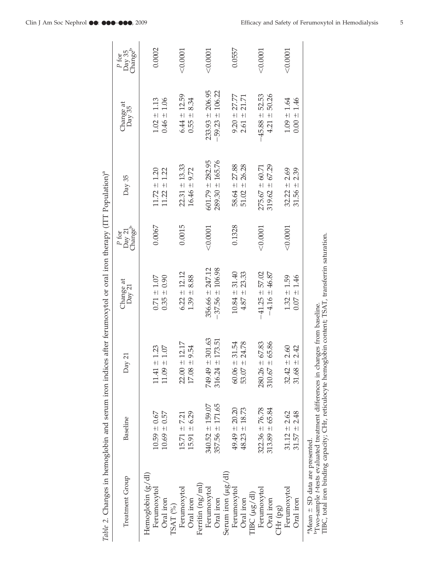| Table 2. Changes in hemoglobin and serum iron indices after ferumoxytol or oral iron therapy (ITT Population) <sup>a</sup>                  |                     |                          |                     |                                        |                     |                     |                                        |
|---------------------------------------------------------------------------------------------------------------------------------------------|---------------------|--------------------------|---------------------|----------------------------------------|---------------------|---------------------|----------------------------------------|
| Treatment Group                                                                                                                             | Baseline            | Day 21                   | Change at<br>Day 21 | Day 21<br>Change <sup>b</sup><br>P for | Day 35              | Change at<br>Day 35 | Day 35<br>Change <sup>b</sup><br>P for |
| Hemoglobin $(g/dl)$                                                                                                                         |                     |                          |                     |                                        |                     |                     |                                        |
| Ferumoxytol                                                                                                                                 | $10.59 \pm 0.67$    | ± 1.23<br>11.41          | $0.71 \pm 1.07$     | 0.0067                                 | $11.72 \pm 1.20$    | $1.02 \pm 1.13$     | 0.0002                                 |
| Oral iron                                                                                                                                   | $10.69 \pm 0.57$    | 1.07<br>$+1$<br>11.09    | $0.35 \pm 0.90$     |                                        | $11.22 \pm 1.22$    | $0.46 \pm 1.06$     |                                        |
| TSAT (%)                                                                                                                                    |                     |                          |                     |                                        |                     |                     |                                        |
| Ferumoxytol                                                                                                                                 | $15.71 \pm 7.21$    | $22.00 \pm 12.17$        | $6.22 \pm 12.12$    | 0.0015                                 | $22.31 \pm 13.33$   | $6.44 \pm 12.59$    | < 0.0001                               |
| Oral iron                                                                                                                                   | $15.91 \pm 6.29$    | 9.54<br>$+1$<br>17.08    | 8.88<br>$1.39 +$    |                                        | 9.72<br>$16.46 \pm$ | $-8.34$<br>0.55     |                                        |
| Ferritin (ng/ml)                                                                                                                            |                     |                          |                     |                                        |                     |                     |                                        |
| Ferumoxytol                                                                                                                                 | $340.52 \pm 159.07$ | 301.63<br>$+1$<br>749.49 | $356.66 \pm 247.12$ | < 0.0001                               | $601.79 \pm 282.95$ | $233.93 \pm 206.95$ | < 0.0001                               |
| Oral iron                                                                                                                                   | $357.56 \pm 171.65$ | 173.51<br>$+1$<br>316.24 | $-37.56 \pm 106.98$ |                                        | $289.30 \pm 165.76$ | $-59.23 \pm 106.22$ |                                        |
| Serum iron $(\mu g/dl)$                                                                                                                     |                     |                          |                     |                                        |                     |                     |                                        |
| Ferumoxytol                                                                                                                                 | $49.49 \pm 20.20$   | 31.54<br>$60.06 \pm$     | $10.84 \pm 31.40$   | 0.1328                                 | $58.64 \pm 27.88$   | $9.20 \pm 27.77$    | 0.0557                                 |
| Oral iron                                                                                                                                   | $48.23 \pm 18.73$   | 24.78<br>$+1$<br>53.07   | $4.87 \pm 23.33$    |                                        | $51.02 \pm 26.28$   | $2.61 \pm 21.71$    |                                        |
| $TBC(\mu g/dI)$                                                                                                                             |                     |                          |                     |                                        |                     |                     |                                        |
| Ferumoxytol                                                                                                                                 | $322.36 \pm 76.78$  | 67.83<br>$280.26 \pm$    | $-41.25 \pm 57.02$  | < 0.0001                               | $275.67 \pm 60.71$  | $-45.88 \pm 52.53$  | $<$ 0.0001                             |
| Oral iron                                                                                                                                   | $313.89 + 65.84$    | 65.86<br>$+1$<br>310.67  | $-4.16 \pm 46.87$   |                                        | $319.62 \pm 67.29$  | 50.26<br>$4.21 \pm$ |                                        |
| CHr (pg)                                                                                                                                    |                     |                          |                     |                                        |                     |                     |                                        |
| Ferumoxytol                                                                                                                                 | $31.12 \pm 2.62$    | $32.42 \pm 2.60$         | $1.32 \pm 1.59$     | < 0.0001                               | $32.22 \pm 2.69$    | $1.09 \pm 1.64$     | < 0.0001                               |
| Oral iron                                                                                                                                   | $31.57 \pm 2.48$    | 2.42<br>$31.68 +$        | $0.07 \pm 1.46$     |                                        | $31.56 \pm 2.39$    | $0.00 \pm 1.46$     |                                        |
| <sup>b</sup> Two-sample t-tests evaluated treatment differences in changes from baseline.<br>${}^{\rm a}$ Mean $\pm$ SD data are presented. |                     |                          |                     |                                        |                     |                     |                                        |
|                                                                                                                                             |                     |                          |                     |                                        |                     |                     |                                        |

TIBC, total iron binding capacity; CHr, reticulocyte hemoglobin content; TSAT, transferrin saturation.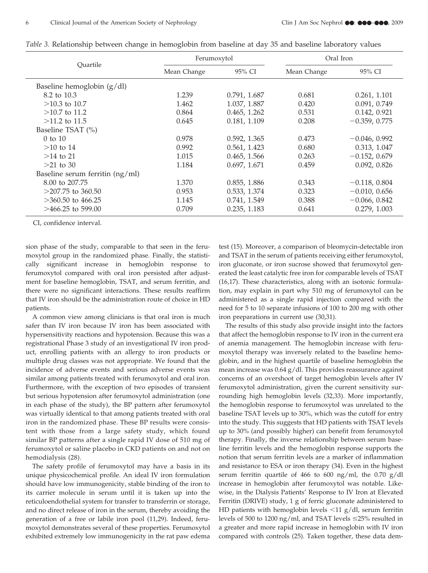| Ouartile                          | Ferumoxytol |              | Oral Iron   |                 |
|-----------------------------------|-------------|--------------|-------------|-----------------|
|                                   | Mean Change | 95% CI       | Mean Change | 95% CI          |
| Baseline hemoglobin $(g/dl)$      |             |              |             |                 |
| 8.2 to 10.3                       | 1.239       | 0.791, 1.687 | 0.681       | 0.261, 1.101    |
| $>10.3$ to 10.7                   | 1.462       | 1.037, 1.887 | 0.420       | 0.091, 0.749    |
| $>10.7$ to 11.2                   | 0.864       | 0.465, 1.262 | 0.531       | 0.142, 0.921    |
| $>11.2$ to 11.5                   | 0.645       | 0.181, 1.109 | 0.208       | $-0.359, 0.775$ |
| Baseline TSAT (%)                 |             |              |             |                 |
| $0$ to $10$                       | 0.978       | 0.592, 1.365 | 0.473       | $-0.046, 0.992$ |
| $>10$ to 14                       | 0.992       | 0.561, 1.423 | 0.680       | 0.313, 1.047    |
| $>14$ to 21                       | 1.015       | 0.465, 1.566 | 0.263       | $-0.152, 0.679$ |
| $>21$ to 30                       | 1.184       | 0.697, 1.671 | 0.459       | 0.092, 0.826    |
| Baseline serum ferritin $(ng/ml)$ |             |              |             |                 |
| 8.00 to 207.75                    | 1.370       | 0.855, 1.886 | 0.343       | $-0.118, 0.804$ |
| $>$ 207.75 to 360.50              | 0.953       | 0.533, 1.374 | 0.323       | $-0.010, 0.656$ |
| $>360.50$ to 466.25               | 1.145       | 0.741, 1.549 | 0.388       | $-0.066, 0.842$ |
| $>466.25$ to 599.00               | 0.709       | 0.235, 1.183 | 0.641       | 0.279, 1.003    |

*Table 3.* Relationship between change in hemoglobin from baseline at day 35 and baseline laboratory values

CI, confidence interval.

sion phase of the study, comparable to that seen in the ferumoxytol group in the randomized phase. Finally, the statistically significant increase in hemoglobin response to ferumoxytol compared with oral iron persisted after adjustment for baseline hemoglobin, TSAT, and serum ferritin, and there were no significant interactions. These results reaffirm that IV iron should be the administration route of choice in HD patients.

A common view among clinicians is that oral iron is much safer than IV iron because IV iron has been associated with hypersensitivity reactions and hypotension. Because this was a registrational Phase 3 study of an investigational IV iron product, enrolling patients with an allergy to iron products or multiple drug classes was not appropriate. We found that the incidence of adverse events and serious adverse events was similar among patients treated with ferumoxytol and oral iron. Furthermore, with the exception of two episodes of transient but serious hypotension after ferumoxytol administration (one in each phase of the study), the BP pattern after ferumoxytol was virtually identical to that among patients treated with oral iron in the randomized phase. These BP results were consistent with those from a large safety study, which found similar BP patterns after a single rapid IV dose of 510 mg of ferumoxytol or saline placebo in CKD patients on and not on hemodialysis (28).

The safety profile of ferumoxytol may have a basis in its unique physicochemical profile. An ideal IV iron formulation should have low immunogenicity, stable binding of the iron to its carrier molecule in serum until it is taken up into the reticuloendothelial system for transfer to transferrin or storage, and no direct release of iron in the serum, thereby avoiding the generation of a free or labile iron pool (11,29). Indeed, ferumoxytol demonstrates several of these properties. Ferumoxytol exhibited extremely low immunogenicity in the rat paw edema

test (15). Moreover, a comparison of bleomycin-detectable iron and TSAT in the serum of patients receiving either ferumoxytol, iron gluconate, or iron sucrose showed that ferumoxytol generated the least catalytic free iron for comparable levels of TSAT (16,17). These characteristics, along with an isotonic formulation, may explain in part why 510 mg of ferumoxytol can be administered as a single rapid injection compared with the need for 5 to 10 separate infusions of 100 to 200 mg with other iron preparations in current use (30,31).

The results of this study also provide insight into the factors that affect the hemoglobin response to IV iron in the current era of anemia management. The hemoglobin increase with ferumoxytol therapy was inversely related to the baseline hemoglobin, and in the highest quartile of baseline hemoglobin the mean increase was 0.64 g/dl. This provides reassurance against concerns of an overshoot of target hemoglobin levels after IV ferumoxytol administration, given the current sensitivity surrounding high hemoglobin levels (32,33). More importantly, the hemoglobin response to ferumoxytol was unrelated to the baseline TSAT levels up to 30%, which was the cutoff for entry into the study. This suggests that HD patients with TSAT levels up to 30% (and possibly higher) can benefit from ferumoxytol therapy. Finally, the inverse relationship between serum baseline ferritin levels and the hemoglobin response supports the notion that serum ferritin levels are a marker of inflammation and resistance to ESA or iron therapy (34). Even in the highest serum ferritin quartile of 466 to 600 ng/ml, the 0.70 g/dl increase in hemoglobin after ferumoxytol was notable. Likewise, in the Dialysis Patients' Response to IV Iron at Elevated Ferritin (DRIVE) study, 1 g of ferric gluconate administered to HD patients with hemoglobin levels  $\langle 11 \text{ g}/\text{dl} \rangle$ , serum ferritin levels of 500 to 1200 ng/ml, and TSAT levels  $\leq$ 25% resulted in a greater and more rapid increase in hemoglobin with IV iron compared with controls (25). Taken together, these data dem-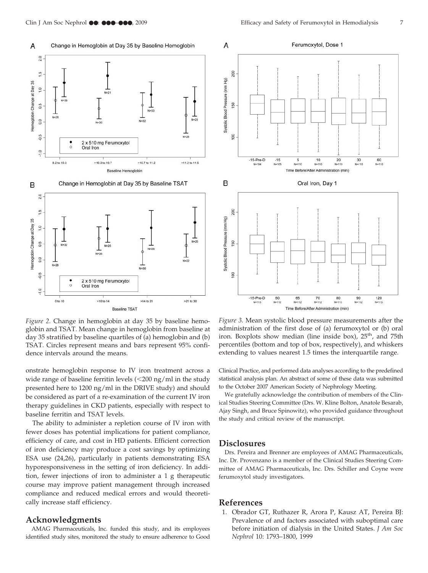

*Figure 2.* Change in hemoglobin at day 35 by baseline hemoglobin and TSAT. Mean change in hemoglobin from baseline at day 35 stratified by baseline quartiles of (a) hemoglobin and (b) TSAT. Circles represent means and bars represent 95% confidence intervals around the means.

onstrate hemoglobin response to IV iron treatment across a wide range of baseline ferritin levels  $\left($  <200 ng/ml in the study presented here to 1200 ng/ml in the DRIVE study) and should be considered as part of a re-examination of the current IV iron therapy guidelines in CKD patients, especially with respect to baseline ferritin and TSAT levels.

The ability to administer a repletion course of IV iron with fewer doses has potential implications for patient compliance, efficiency of care, and cost in HD patients. Efficient correction of iron deficiency may produce a cost savings by optimizing ESA use (24,26), particularly in patients demonstrating ESA hyporesponsiveness in the setting of iron deficiency. In addition, fewer injections of iron to administer a 1 g therapeutic course may improve patient management through increased compliance and reduced medical errors and would theoretically increase staff efficiency.

## **Acknowledgments**

AMAG Pharmaceuticals, Inc. funded this study, and its employees identified study sites, monitored the study to ensure adherence to Good



*Figure 3.* Mean systolic blood pressure measurements after the administration of the first dose of (a) ferumoxytol or (b) oral iron. Boxplots show median (line inside box), 25<sup>th</sup>, and 75th percentiles (bottom and top of box, respectively), and whiskers extending to values nearest 1.5 times the interquartile range.

Clinical Practice, and performed data analyses according to the predefined statistical analysis plan. An abstract of some of these data was submitted to the October 2007 American Society of Nephrology Meeting.

We gratefully acknowledge the contribution of members of the Clinical Studies Steering Committee (Drs. W. Kline Bolton, Anatole Besarab, Ajay Singh, and Bruce Spinowitz), who provided guidance throughout the study and critical review of the manuscript.

## **Disclosures**

Drs. Pereira and Brenner are employees of AMAG Pharmaceuticals, Inc. Dr. Provenzano is a member of the Clinical Studies Steering Committee of AMAG Pharmaceuticals, Inc. Drs. Schiller and Coyne were ferumoxytol study investigators.

## **References**

1. Obrador GT, Ruthazer R, Arora P, Kausz AT, Pereira BJ: Prevalence of and factors associated with suboptimal care before initiation of dialysis in the United States. *J Am Soc Nephrol* 10: 1793–1800, 1999